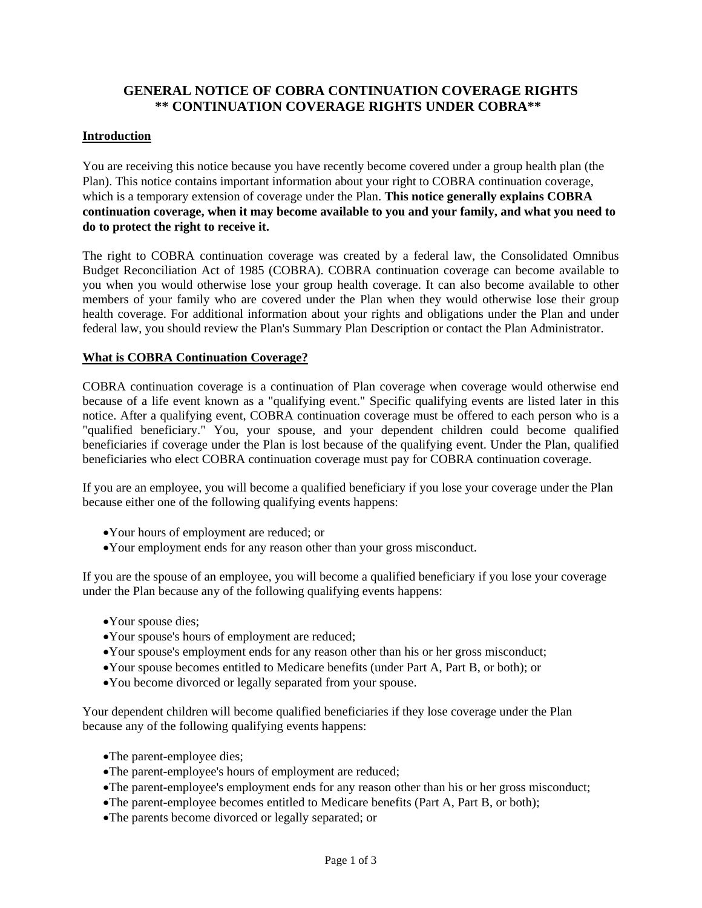# **GENERAL NOTICE OF COBRA CONTINUATION COVERAGE RIGHTS \*\* CONTINUATION COVERAGE RIGHTS UNDER COBRA\*\***

## **Introduction**

You are receiving this notice because you have recently become covered under a group health plan (the Plan). This notice contains important information about your right to COBRA continuation coverage, which is a temporary extension of coverage under the Plan. **This notice generally explains COBRA continuation coverage, when it may become available to you and your family, and what you need to do to protect the right to receive it.**

The right to COBRA continuation coverage was created by a federal law, the Consolidated Omnibus Budget Reconciliation Act of 1985 (COBRA). COBRA continuation coverage can become available to you when you would otherwise lose your group health coverage. It can also become available to other members of your family who are covered under the Plan when they would otherwise lose their group health coverage. For additional information about your rights and obligations under the Plan and under federal law, you should review the Plan's Summary Plan Description or contact the Plan Administrator.

### **What is COBRA Continuation Coverage?**

COBRA continuation coverage is a continuation of Plan coverage when coverage would otherwise end because of a life event known as a "qualifying event." Specific qualifying events are listed later in this notice. After a qualifying event, COBRA continuation coverage must be offered to each person who is a "qualified beneficiary." You, your spouse, and your dependent children could become qualified beneficiaries if coverage under the Plan is lost because of the qualifying event. Under the Plan, qualified beneficiaries who elect COBRA continuation coverage must pay for COBRA continuation coverage.

If you are an employee, you will become a qualified beneficiary if you lose your coverage under the Plan because either one of the following qualifying events happens:

- •Your hours of employment are reduced; or
- •Your employment ends for any reason other than your gross misconduct.

If you are the spouse of an employee, you will become a qualified beneficiary if you lose your coverage under the Plan because any of the following qualifying events happens:

- •Your spouse dies;
- •Your spouse's hours of employment are reduced;
- •Your spouse's employment ends for any reason other than his or her gross misconduct;
- •Your spouse becomes entitled to Medicare benefits (under Part A, Part B, or both); or
- •You become divorced or legally separated from your spouse.

Your dependent children will become qualified beneficiaries if they lose coverage under the Plan because any of the following qualifying events happens:

- •The parent-employee dies;
- •The parent-employee's hours of employment are reduced;
- •The parent-employee's employment ends for any reason other than his or her gross misconduct;
- •The parent-employee becomes entitled to Medicare benefits (Part A, Part B, or both);
- •The parents become divorced or legally separated; or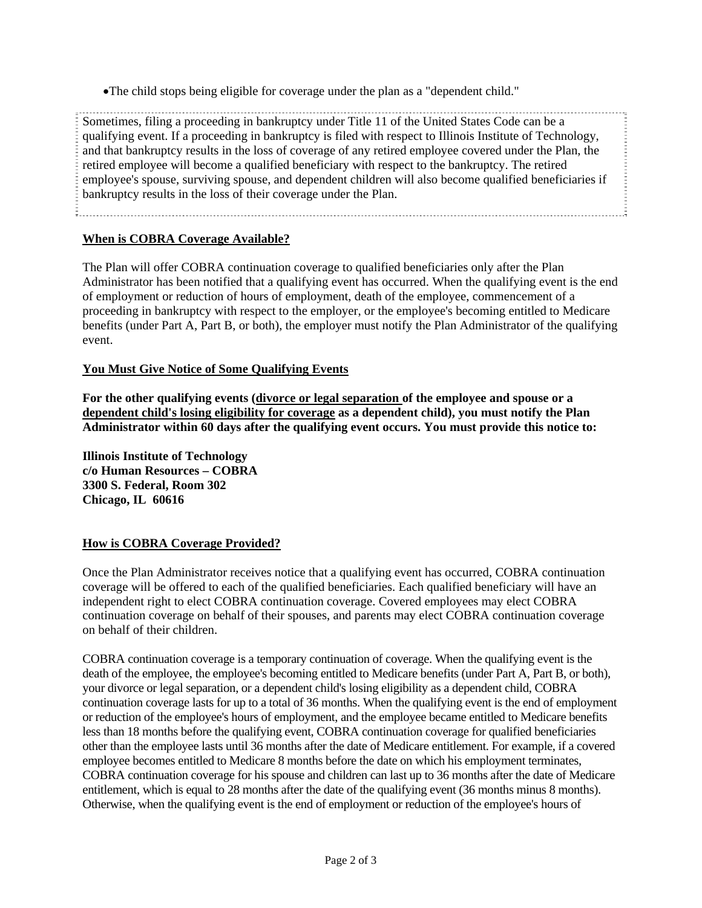•The child stops being eligible for coverage under the plan as a "dependent child."

Sometimes, filing a proceeding in bankruptcy under Title 11 of the United States Code can be a qualifying event. If a proceeding in bankruptcy is filed with respect to Illinois Institute of Technology, and that bankruptcy results in the loss of coverage of any retired employee covered under the Plan, the retired employee will become a qualified beneficiary with respect to the bankruptcy. The retired employee's spouse, surviving spouse, and dependent children will also become qualified beneficiaries if bankruptcy results in the loss of their coverage under the Plan.

## **When is COBRA Coverage Available?**

The Plan will offer COBRA continuation coverage to qualified beneficiaries only after the Plan Administrator has been notified that a qualifying event has occurred. When the qualifying event is the end of employment or reduction of hours of employment, death of the employee, commencement of a proceeding in bankruptcy with respect to the employer, or the employee's becoming entitled to Medicare benefits (under Part A, Part B, or both), the employer must notify the Plan Administrator of the qualifying event.

## **You Must Give Notice of Some Qualifying Events**

**For the other qualifying events (divorce or legal separation of the employee and spouse or a dependent child's losing eligibility for coverage as a dependent child), you must notify the Plan Administrator within 60 days after the qualifying event occurs. You must provide this notice to:** 

**Illinois Institute of Technology c/o Human Resources – COBRA 3300 S. Federal, Room 302 Chicago, IL 60616** 

## **How is COBRA Coverage Provided?**

Once the Plan Administrator receives notice that a qualifying event has occurred, COBRA continuation coverage will be offered to each of the qualified beneficiaries. Each qualified beneficiary will have an independent right to elect COBRA continuation coverage. Covered employees may elect COBRA continuation coverage on behalf of their spouses, and parents may elect COBRA continuation coverage on behalf of their children.

COBRA continuation coverage is a temporary continuation of coverage. When the qualifying event is the death of the employee, the employee's becoming entitled to Medicare benefits (under Part A, Part B, or both), your divorce or legal separation, or a dependent child's losing eligibility as a dependent child, COBRA continuation coverage lasts for up to a total of 36 months. When the qualifying event is the end of employment or reduction of the employee's hours of employment, and the employee became entitled to Medicare benefits less than 18 months before the qualifying event, COBRA continuation coverage for qualified beneficiaries other than the employee lasts until 36 months after the date of Medicare entitlement. For example, if a covered employee becomes entitled to Medicare 8 months before the date on which his employment terminates, COBRA continuation coverage for his spouse and children can last up to 36 months after the date of Medicare entitlement, which is equal to 28 months after the date of the qualifying event (36 months minus 8 months). Otherwise, when the qualifying event is the end of employment or reduction of the employee's hours of